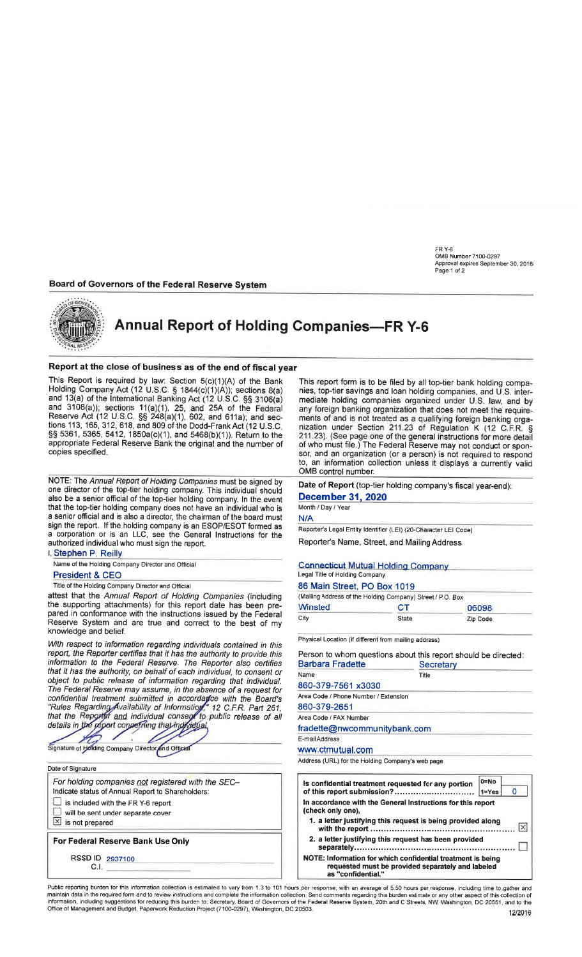FR Y-6<br>OMB Number 7100-0297 Approval expires September 30, 2018 Page 1 of 2

### Board of Governors of the Federal Reserve System



# Annual Report of Holding Companies-FR Y-6

### Report at the close of business as of the end of fiscal year

This Report is required by law: Section  $5(c)(1)(A)$  of the Bank Holding Company Act (12 U.S.C. S 18aa(c)(1)(A)); sections B(a) and 13(a) of the International Banking Act (12 U.S.C. §§ 3106(a)<br>and 3108(a)); sections 11(a)(1), 25, and 25A of the Federa Reserve Act (12 U.S.C. SS 248(a)(1), 602, and 611a); and sections 113, 165, 312,618, and 809 of the Dodd-Frank Act (12 U.S.C. SS 5361, 5365, 5412, 1850a(c)(r), and 5a68(b)(1)). Return to the appropriate Federal Reserve Bank the original and the number of copies specified.

NOTE: The Annual Report of Holding Companies must be signed by one director of the top-tier holding company. This individual should also be a senior official of the top-tier holding company. ln the event that the top-tier holding company does not have an individual who is a senior official and is also a director, the chairman of the board must sign the report. lf the holding company is an ESOP/ESOT formed as a corporation or is an LLC, see the General Instructions for the authorized individual who must sign the report.

| I Stephen P. Reilly                               |  |
|---------------------------------------------------|--|
| Name of the Holding Company Director and Official |  |
| <b>President &amp; CEO</b>                        |  |

Title of the Holding Company Director and Official

attest that the Annual Report of Holding Companies (including the supporting attachments) for this report date has been prepared in conformance with the instructions issued by the Federal Reserve System and are true and correct to the best of my knowledge and belief.

With respect to information regarding individuals contained in this report, the Reporter certifies that it has the authority to provide this information to the Federal Reserve. The Reporter also certifies that it has the authority, on behalf of each individual, to consent or object to public release of information regarding that individual. The Federal Reserve may assume, in the absence of a request for confidential treatment submitted in accordadce with the Board's Area Code / Phone Number / Extension "Rules Regarding Availability of Information"," 12 C.F.R. Part 261, 860-379-265 that the details in and individual consent to public release of all Area Code / FAX Number

Signature of Holding Company Director and Official

| Date of Signature     |                                                                                                         |
|-----------------------|---------------------------------------------------------------------------------------------------------|
|                       | For holding companies not registered with the SEC-<br>Indicate status of Annual Report to Shareholders: |
|                       | $\Box$ is included with the FR Y-6 report                                                               |
|                       | $\Box$ will be sent under separate cover                                                                |
| b is not prepared     |                                                                                                         |
|                       | For Federal Reserve Bank Use Only                                                                       |
| RSSD ID 2937100<br>CΙ |                                                                                                         |

This report form is to be filed by all top-tier bank holding companies, top-tier savings and loan holding companies, and U.S. intermediate holding companies organized under U.S. law, and by any foreign banking organization that does not meet the requirements of and is not treated as a qualifying foreign banking orga-<br>nization under Section 211.23 of Regulation K (12 C.F.R. § 211.23). (See page one of the general instructions for more detail of who must file.) The Federal Reserve may not conduct or sponsor, and an organization (or a person) is not required to respond to, an information collection unless it displays a currently valid OMB control number.

Date of Report (top-tier holding company's fiscal year-end): December 31,2020

# Month / Day / Year

N/A

Reporter's Legal Entity Identifier (LEI) (20-Character LEI Code) Reporter's Name, Street, and Mailing Address

| <b>Connecticut Mutual Holding Company</b> |  |
|-------------------------------------------|--|
| Legal Title of Holding Company            |  |
| 86 Main Street, PO Box 1019               |  |

| (Mailing Address of the Holding Company) Street / P.O. Box |       |          |
|------------------------------------------------------------|-------|----------|
| <b>Winsted</b>                                             | CТ    | 06098    |
| City                                                       | State | Zip Code |

Physical Location (if difierent from mailing address)

| Person to whom questions about this report should be directed:<br>Barbara Fradette | Secretary |
|------------------------------------------------------------------------------------|-----------|
| Name                                                                               | Title     |
| 860-379-7561 x3030                                                                 |           |
| Area Code / Phone Number / Extension                                               |           |
| 860-379-2651                                                                       |           |
| Area Code / FAX Number                                                             |           |
| fradette@nwcommunitybank.com                                                       |           |
| E-mail Address                                                                     |           |
| www.ctmutual.com                                                                   |           |
| Address (URL) for the Holding Company's web page                                   |           |

| Is confidential treatment requested for any portion<br>of this report submission?                                                      | $0 = No$<br>$1 = Yes$ | Ω |  |  |  |  |  |  |
|----------------------------------------------------------------------------------------------------------------------------------------|-----------------------|---|--|--|--|--|--|--|
| In accordance with the General Instructions for this report<br>(check only one).                                                       |                       |   |  |  |  |  |  |  |
| 1. a letter justifying this request is being provided along<br>Ι×                                                                      |                       |   |  |  |  |  |  |  |
| 2. a letter justifying this request has been provided                                                                                  |                       |   |  |  |  |  |  |  |
| NOTE: Information for which confidential treatment is being<br>requested must be provided separately and labeled<br>as "confidential." |                       |   |  |  |  |  |  |  |

Public reporting burden for this information collection is estimated to vary from 1.3 to 101 hours per response, with an average of 5.50 hours per response, including time to gather and maintain data in the required form a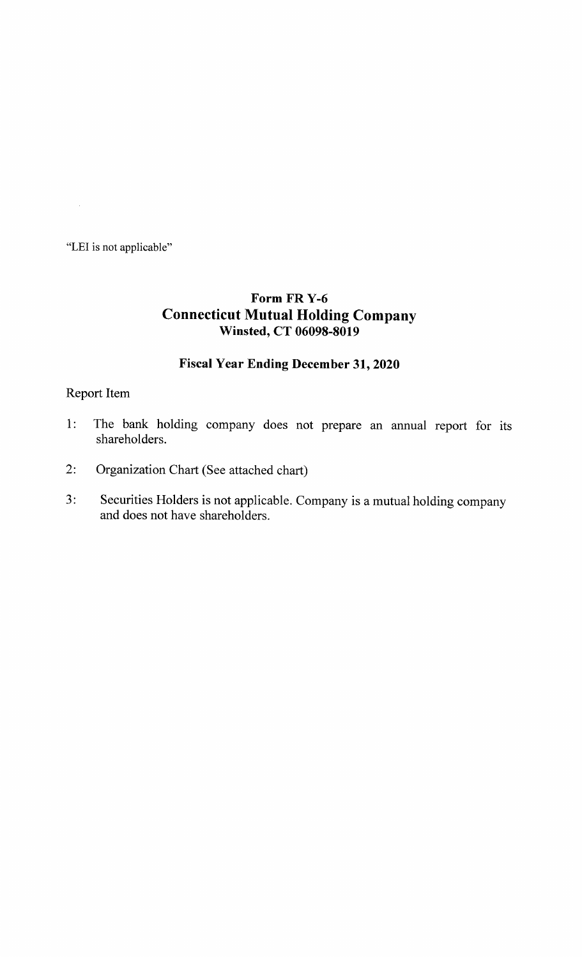"LEI is not applicable"

 $\sim$ 

# Form FR Y-6 Connecticut Mutual Holding Company Winsted, CT 06098-8019

### Fiscal Year Ending December 31, 2020

### Report Item

- 1: The bank holding company does not prepare an annual report for its shareholders.
- Organization Chart (See attached chart)  $2:$
- Securities Holders is not applicable. Company is a mutual holding company and does not have shareholders.  $3:$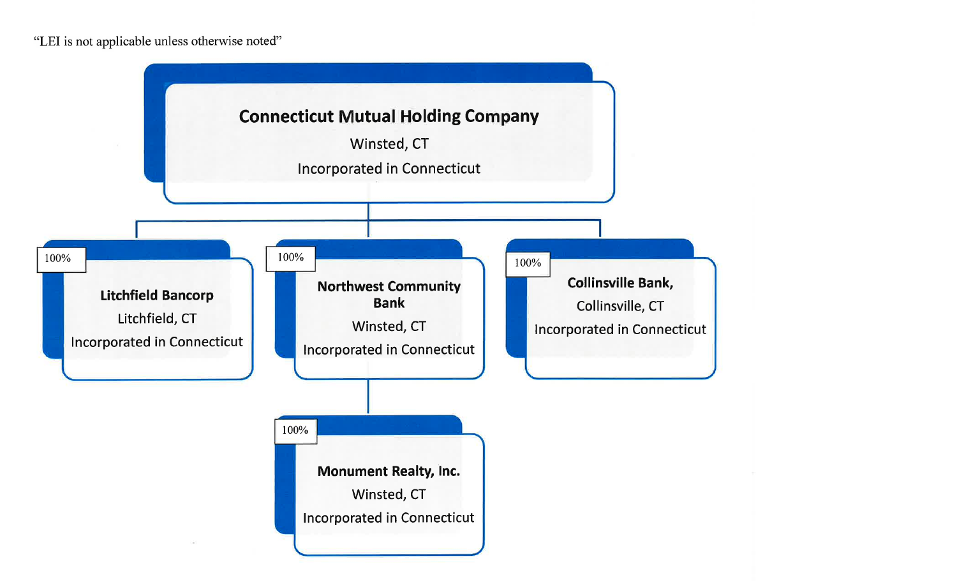"LEI is not applicable unless otherwise noted"

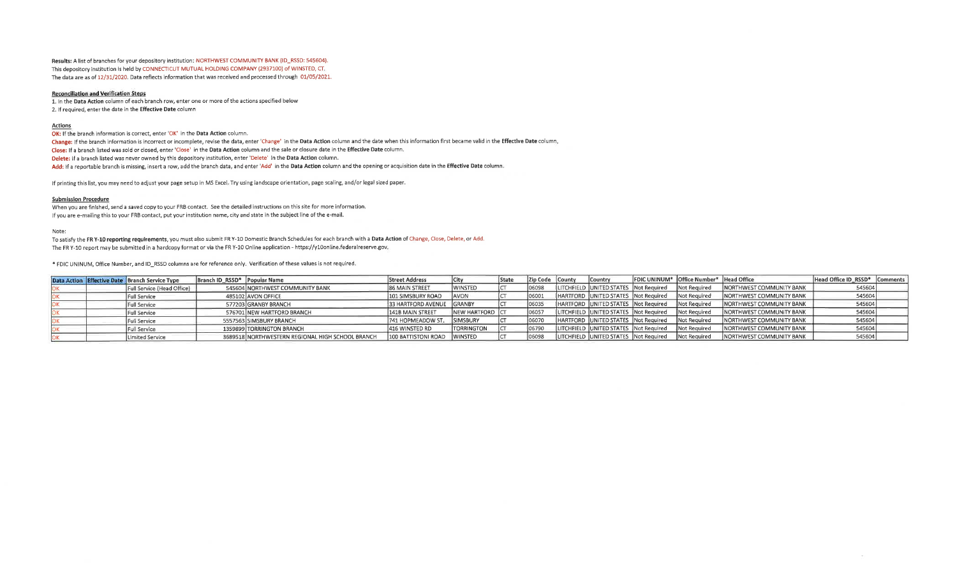Results: A list of branches for your depository institution: NORTHWEST COMMUNITY BANK (ID\_RSSD: 545604). This depository institution is held by CONNECTICUT MUTUAL HOLDING COMPANY (2937100) of WINSTED, CT. The data are as of 12/31/2020. Data reflects information that was received and processed through 01/05/2021.

#### **Reconciliation and Verification Steps**

1. In the Data Action column of each branch row, enter one or more of the actions specified below 2. If required, enter the date in the Effective Date column

#### Actions

OK: If the branch information is correct, enter 'OK' in the Data Action column.<br>Change: If the branch information is incorrect or incomplete, revise the data, enter 'Change' in the Data Action column and the date when this

Close: If a branch listed was sold or closed, enter 'Close' in the Data Action column and the sale or closure date in the Effective Date column.

Delete: If a branch listed was never owned by this depository institution, enter 'Delete' in the Data Action column.

Add: If a reportable branch is missing, insert a row, add the branch data, and enter 'Add' in the Data Action column and the opening or acquisition date in the Effective Date column.

If printing this list, you may need to adjust your page setup in MS Excel. Try using landscape orientation, page scaling, and/or legal sized paper.

#### Submission Procedure

When you are finished, send a saved copy to your FRB contact. See the detailed instructions on this site for more information. If you are e-mailing this to your FRB contact, put your institution name, city and state in the subject line of the e-mail.

#### Note:

To satisfy the FR Y-10 reporting requirements, you must also submit FR Y-10 Domestic Branch Schedules for each branch with a Data Action of Change, Close, Delete, or Add. The FR Y-10 report may be submitted in a hardcopy format or via the FR Y-10 Online application - https://y10online.federalreserve.gov.

\* FDIC UNINUM, Office Number, and lD\_RSSD columns are for reference only. Verification ofthese values is not required.

|  | Data Action Effective Date Branch Service Type | Branch ID_RSSD* Popular Name |                                                  | <b>Street Address</b>     |                          | <b>State</b> | Zip Code County | <b>Country</b>                        |                                                    | <b>FDIC UNINUM<sup>*</sup> Office Number* Head Office</b> |                                 | Head Office ID RSSD* Comments |  |
|--|------------------------------------------------|------------------------------|--------------------------------------------------|---------------------------|--------------------------|--------------|-----------------|---------------------------------------|----------------------------------------------------|-----------------------------------------------------------|---------------------------------|-------------------------------|--|
|  | Full Service (Head Office)                     |                              | 545604 NORTHWEST COMMUNITY BANK                  | <b>86 MAIN STREET</b>     | <b>IWINSTED</b>          |              | 106098          | LITCHFIELD UNITED STATES Not Required |                                                    | Not Required                                              | INORTHWEST COMMUNITY BANK       | 545604                        |  |
|  | Full Service                                   |                              | 485102 AVON OFFICE                               | 101 SIMSBURY ROAD         | <b>JAVON</b>             |              | 06001           | HARTFORD UNITED STATES Not Required   |                                                    | Not Required                                              | INORTHWEST COMMUNITY BANK       | 545604                        |  |
|  | <b>Full Service</b>                            |                              | 577203 GRANBY BRANCH                             | 33 HARTFORD AVENUE GRANBY |                          |              | 06035           | HARTFORD UNITED STATES Not Required   |                                                    | Not Required                                              | <b>NORTHWEST COMMUNITY BANK</b> | 545604                        |  |
|  | <b>Full Service</b>                            |                              | 576701 NEW HARTFORD BRANCH                       | 141B MAIN STREET          | <b>INEW HARTFORD ICT</b> |              | 106057          | LITCHFIELD UNITED STATES Not Required |                                                    | Not Required                                              | NORTHWEST COMMUNITY BANK        | 545604                        |  |
|  | Full Service                                   |                              | 5557563 SIMSBURY BRANCH                          | 741 HOPMEADOW ST.         | <b>SIMSBURY</b>          |              | 06070           | HARTFORD UNITED STATES Not Required   |                                                    | Not Required                                              | NORTHWEST COMMUNITY BANK        | 545604                        |  |
|  | <b>Full Service</b>                            |                              | 1359899 TORRINGTON BRANCH                        | 416 WINSTED RD            | <b>ITORRINGTON</b>       |              | 06790           | LITCHFIELD UNITED STATES Not Required |                                                    | Not Required                                              | INORTHWEST COMMUNITY BANK       | 545604                        |  |
|  | Limited Service                                |                              | 3689518 NORTHWESTERN REGIONAL HIGH SCHOOL BRANCH | 100 BATTISTONI ROAD       | <b>IWINSTED</b>          |              | 06098           |                                       | LITCHFIELD UNITED STATES Not Required Not Required |                                                           | <b>NORTHWEST COMMUNITY BANK</b> | 545604                        |  |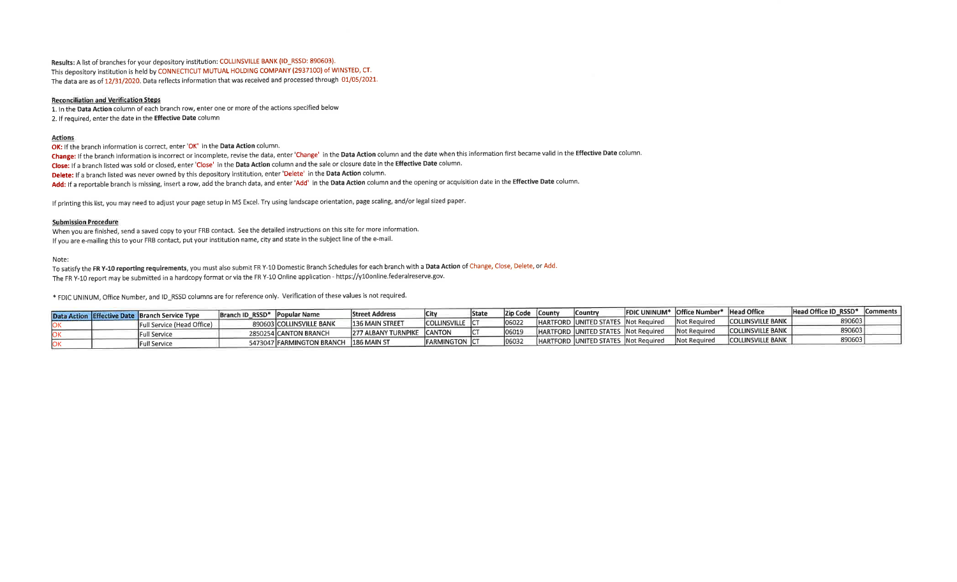Results: A list of branches for your depository institution: COLLINSVILLE BANK (ID\_RSSD: 890603). This depository institution is held by CONNECTICUT MUTUAL HOLDING COMPANY (2937100) of WINSTED, CT. The data are as of 12/31/2020. Data reflects information that was received and processed through 01/05/2021.

### **Reconciliation and Verification Steps**

1. In the Data Action column of each branch row, enter one or more of the actions specified below 2. If required, enter the date in the Effective Date column

#### Actions

OK: If the branch information is correct, enter 'OK' in the Data Action column.<br>Change: If the branch information is incorrect or incomplete, revise the data, enter 'Change' in the Data Action column and the date when this

Close: If a branch listed was sold or closed, enter 'Close' in the Data Action column and the sale or closure date in the Effective Date column.

Delete: If a branch listed was never owned by this depository institution, enter 'Delete' in the Data Action column.

Add: If a reportable branch is missing, insert a row, add the branch data, and enter 'Add' in the Data Action column and the opening or acquisition date in the Effective Date column.

If printing this list, you may need to adjust your page setup in MS Excel. Try using landscape orientation, page scaling, and/or legal sized paper.

#### Submission Procedure

When you are finished, send a saved copy to your FRB contact, See the detailed instructions on this site for more information. If you are e-mailing this to your FRB contact, put your institution name, city and state in the subject line of the e-mail.

Note:

To satisfy the FR Y-10 reporting requirements, you must also submit FR Y-10 Domestic Branch Schedules for each branch with a Data Action of Change, Close, Delete, or Add. The FR Y-10 report may be submitted in a hardcopy format or via the FR Y-10 Online application - https://y10online.federalreserve.gov.

\* FDIC UNINUM, Office Number, and ID\_RSSD columns are for reference only. Verification of these values is not required.

|  | Data Action Effective Date Branch Service Type | Branch ID RSSD <sup>*</sup> Popular Name |                                       | <b>Street Address</b>  |                               | <b>State</b> | Zip Code | —ICounty | Country |                                       | <b>FDIC UNINUM* Office Number* Head Office</b> |                           | Head Office ID_RSSD* Comments |  |
|--|------------------------------------------------|------------------------------------------|---------------------------------------|------------------------|-------------------------------|--------------|----------|----------|---------|---------------------------------------|------------------------------------------------|---------------------------|-------------------------------|--|
|  | Full Service (Head Office)                     |                                          | 890603 COLLINSVILLE BANK              | <b>136 MAIN STREET</b> | icollinsville ic <sup>.</sup> |              |          |          |         | IHARTFORD JUNITED STATES Not Required | <b>Not Required</b>                            | <b>COLLINSVILLE BANK</b>  | 89060                         |  |
|  |                                                |                                          |                                       | 277 ALBANY TURNPIKE    | <b>CANTON</b>                 |              |          |          |         | IHARTFORD UNITED STATES Not Required  | <b>Not Required</b>                            | <b>COLLINSVILLE BANK</b>  | 89060                         |  |
|  | Full Service                                   |                                          | 2850254 CANTON BRANCH                 |                        |                               |              |          |          |         | IHARTFORD UNITED STATES Not Required. | Not Required                                   | <b>ICOLLINSVILLE BANK</b> | 89060                         |  |
|  | <b>Full Service</b>                            |                                          | 5473047 FARMINGTON BRANCH 186 MAIN ST |                        | FARMINGTON  C1                |              |          |          |         |                                       |                                                |                           |                               |  |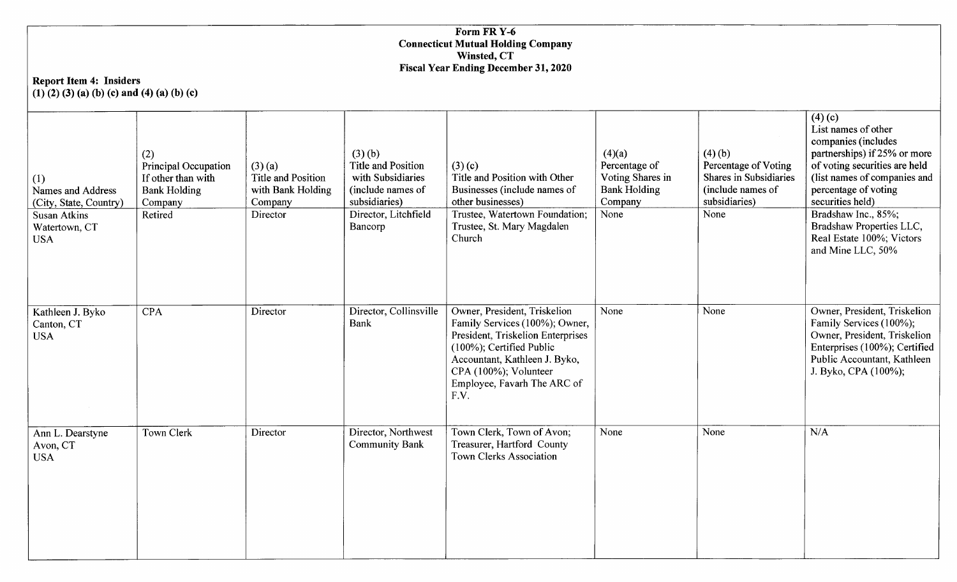### Form FR<sub>Y-6</sub> **Connecticut Mutual Holding Company** Winsted, CT X'iscal Year Ending I)ecember 31,2020

### Report Item 4: Insiders  $(1)$  $(2)$  $(3)$  $(a)$  $(b)$  $(c)$  and  $(4)$  $(a)$  $(b)$  $(c)$

| (1)<br>Names and Address<br>(City, State, Country) | (2)<br>Principal Occupation<br>If other than with<br><b>Bank Holding</b><br>Company | $(3)$ (a)<br><b>Title and Position</b><br>with Bank Holding<br>Company | (3)(b)<br><b>Title and Position</b><br>with Subsidiaries<br>(include names of<br>subsidiaries) | (3)(c)<br>Title and Position with Other<br>Businesses (include names of<br>other businesses)                                                                                                                                     | (4)(a)<br>Percentage of<br>Voting Shares in<br><b>Bank Holding</b><br>Company | (4)(b)<br>Percentage of Voting<br>Shares in Subsidiaries<br>(include names of<br>subsidiaries) | (4)(c)<br>List names of other<br>companies (includes<br>partnerships) if 25% or more<br>of voting securities are held<br>(list names of companies and<br>percentage of voting<br>securities held) |
|----------------------------------------------------|-------------------------------------------------------------------------------------|------------------------------------------------------------------------|------------------------------------------------------------------------------------------------|----------------------------------------------------------------------------------------------------------------------------------------------------------------------------------------------------------------------------------|-------------------------------------------------------------------------------|------------------------------------------------------------------------------------------------|---------------------------------------------------------------------------------------------------------------------------------------------------------------------------------------------------|
| <b>Susan Atkins</b><br>Watertown, CT<br><b>USA</b> | Retired                                                                             | Director                                                               | Director, Litchfield<br>Bancorp                                                                | Trustee, Watertown Foundation;<br>Trustee, St. Mary Magdalen<br>Church                                                                                                                                                           | None                                                                          | None                                                                                           | Bradshaw Inc., 85%;<br>Bradshaw Properties LLC,<br>Real Estate 100%; Victors<br>and Mine LLC, 50%                                                                                                 |
| Kathleen J. Byko<br>Canton, CT<br><b>USA</b>       | <b>CPA</b>                                                                          | Director                                                               | Director, Collinsville<br>Bank                                                                 | Owner, President, Triskelion<br>Family Services (100%); Owner,<br>President, Triskelion Enterprises<br>(100%); Certified Public<br>Accountant, Kathleen J. Byko,<br>CPA (100%); Volunteer<br>Employee, Favarh The ARC of<br>F.V. | None                                                                          | None                                                                                           | Owner, President, Triskelion<br>Family Services (100%);<br>Owner, President, Triskelion<br>Enterprises (100%); Certified<br>Public Accountant, Kathleen<br>J. Byko, CPA (100%);                   |
| Ann L. Dearstyne<br>Avon, CT<br><b>USA</b>         | Town Clerk                                                                          | Director                                                               | Director, Northwest<br><b>Community Bank</b>                                                   | Town Clerk, Town of Avon;<br>Treasurer, Hartford County<br>Town Clerks Association                                                                                                                                               | None                                                                          | None                                                                                           | N/A                                                                                                                                                                                               |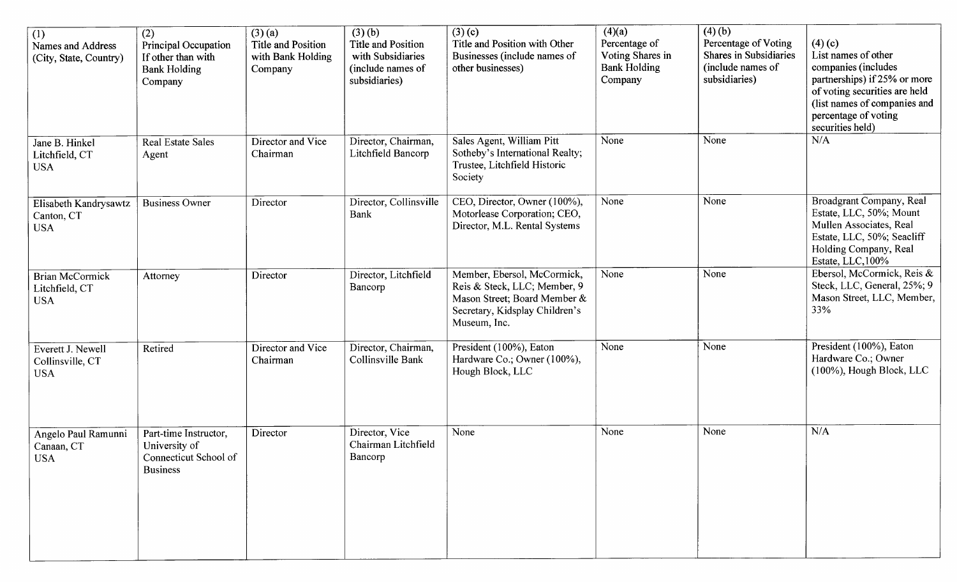| $\overline{(1)}$<br>Names and Address<br>(City, State, Country) | (2)<br>Principal Occupation<br>If other than with<br><b>Bank Holding</b><br>Company | $(3)$ (a)<br><b>Title and Position</b><br>with Bank Holding<br>Company | (3)(b)<br>Title and Position<br>with Subsidiaries<br>(include names of<br>subsidiaries) | (3)(c)<br>Title and Position with Other<br>Businesses (include names of<br>other businesses)                                                  | (4)(a)<br>Percentage of<br>Voting Shares in<br><b>Bank Holding</b><br>Company | (4)(b)<br>Percentage of Voting<br>Shares in Subsidiaries<br>(include names of<br>subsidiaries) | (4)(c)<br>List names of other<br>companies (includes<br>partnerships) if 25% or more<br>of voting securities are held<br>(list names of companies and<br>percentage of voting<br>securities held) |
|-----------------------------------------------------------------|-------------------------------------------------------------------------------------|------------------------------------------------------------------------|-----------------------------------------------------------------------------------------|-----------------------------------------------------------------------------------------------------------------------------------------------|-------------------------------------------------------------------------------|------------------------------------------------------------------------------------------------|---------------------------------------------------------------------------------------------------------------------------------------------------------------------------------------------------|
| Jane B. Hinkel<br>Litchfield, CT<br><b>USA</b>                  | <b>Real Estate Sales</b><br>Agent                                                   | Director and Vice<br>Chairman                                          | Director, Chairman,<br>Litchfield Bancorp                                               | Sales Agent, William Pitt<br>Sotheby's International Realty;<br>Trustee, Litchfield Historic<br>Society                                       | None                                                                          | None                                                                                           | N/A                                                                                                                                                                                               |
| Elisabeth Kandrysawtz<br>Canton, CT<br><b>USA</b>               | <b>Business Owner</b>                                                               | Director                                                               | Director, Collinsville<br>Bank                                                          | CEO, Director, Owner (100%),<br>Motorlease Corporation; CEO,<br>Director, M.L. Rental Systems                                                 | None                                                                          | None                                                                                           | Broadgrant Company, Real<br>Estate, LLC, 50%; Mount<br>Mullen Associates, Real<br>Estate, LLC, 50%; Seacliff<br>Holding Company, Real<br>Estate, LLC, 100%                                        |
| <b>Brian McCormick</b><br>Litchfield, CT<br><b>USA</b>          | Attorney                                                                            | Director                                                               | Director, Litchfield<br>Bancorp                                                         | Member, Ebersol, McCormick,<br>Reis & Steck, LLC; Member, 9<br>Mason Street; Board Member &<br>Secretary, Kidsplay Children's<br>Museum, Inc. | None                                                                          | None                                                                                           | Ebersol, McCormick, Reis &<br>Steck, LLC, General, 25%; 9<br>Mason Street, LLC, Member,<br>33%                                                                                                    |
| Everett J. Newell<br>Collinsville, CT<br><b>USA</b>             | Retired                                                                             | Director and Vice<br>Chairman                                          | Director, Chairman,<br>Collinsville Bank                                                | President (100%), Eaton<br>Hardware Co.; Owner (100%),<br>Hough Block, LLC                                                                    | None                                                                          | None                                                                                           | President (100%), Eaton<br>Hardware Co.; Owner<br>(100%), Hough Block, LLC                                                                                                                        |
| Angelo Paul Ramunni<br>Canaan, CT<br><b>USA</b>                 | Part-time Instructor,<br>University of<br>Connecticut School of<br><b>Business</b>  | Director                                                               | Director, Vice<br>Chairman Litchfield<br>Bancorp                                        | None                                                                                                                                          | None                                                                          | None                                                                                           | N/A                                                                                                                                                                                               |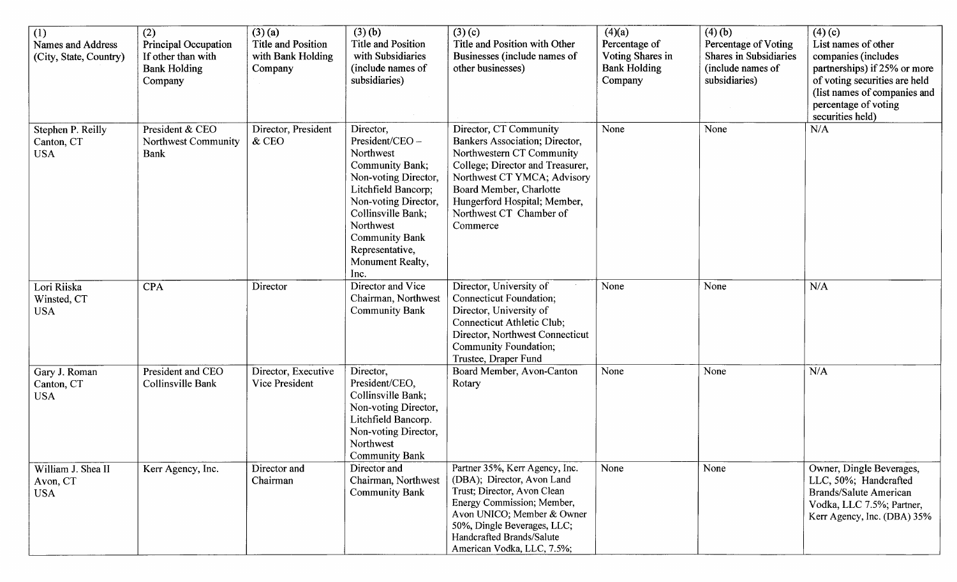| (1)<br>Names and Address<br>(City, State, Country) | $\overline{(2)}$<br>Principal Occupation<br>If other than with<br><b>Bank Holding</b><br>Company | $(3)$ (a)<br>Title and Position<br>with Bank Holding<br>Company | (3)(b)<br>Title and Position<br>with Subsidiaries<br>(include names of<br>subsidiaries)                                                                                                                                                               | $(3)$ (c)<br>Title and Position with Other<br>Businesses (include names of<br>other businesses)                                                                                                                                                            | (4)(a)<br>Percentage of<br>Voting Shares in<br><b>Bank Holding</b><br>Company | (4)(b)<br>Percentage of Voting<br><b>Shares in Subsidiaries</b><br>(include names of<br>subsidiaries) | (4)(c)<br>List names of other<br>companies (includes<br>partnerships) if 25% or more<br>of voting securities are held<br>(list names of companies and<br>percentage of voting<br>securities held) |
|----------------------------------------------------|--------------------------------------------------------------------------------------------------|-----------------------------------------------------------------|-------------------------------------------------------------------------------------------------------------------------------------------------------------------------------------------------------------------------------------------------------|------------------------------------------------------------------------------------------------------------------------------------------------------------------------------------------------------------------------------------------------------------|-------------------------------------------------------------------------------|-------------------------------------------------------------------------------------------------------|---------------------------------------------------------------------------------------------------------------------------------------------------------------------------------------------------|
| Stephen P. Reilly<br>Canton, CT<br><b>USA</b>      | President & CEO<br>Northwest Community<br><b>Bank</b>                                            | Director, President<br>& CEO                                    | Director,<br>President/CEO -<br>Northwest<br><b>Community Bank;</b><br>Non-voting Director,<br>Litchfield Bancorp;<br>Non-voting Director,<br>Collinsville Bank;<br>Northwest<br><b>Community Bank</b><br>Representative,<br>Monument Realty,<br>Inc. | Director, CT Community<br>Bankers Association; Director,<br>Northwestern CT Community<br>College; Director and Treasurer,<br>Northwest CT YMCA; Advisory<br>Board Member, Charlotte<br>Hungerford Hospital; Member,<br>Northwest CT Chamber of<br>Commerce | None                                                                          | None                                                                                                  | N/A                                                                                                                                                                                               |
| Lori Riiska<br>Winsted, CT<br><b>USA</b>           | <b>CPA</b>                                                                                       | Director                                                        | Director and Vice<br>Chairman, Northwest<br><b>Community Bank</b>                                                                                                                                                                                     | Director, University of<br>Connecticut Foundation;<br>Director, University of<br>Connecticut Athletic Club;<br>Director, Northwest Connecticut<br>Community Foundation;<br>Trustee, Draper Fund                                                            | None                                                                          | None                                                                                                  | N/A                                                                                                                                                                                               |
| Gary J. Roman<br>Canton, CT<br><b>USA</b>          | President and CEO<br>Collinsville Bank                                                           | Director, Executive<br>Vice President                           | Director,<br>President/CEO,<br>Collinsville Bank;<br>Non-voting Director,<br>Litchfield Bancorp.<br>Non-voting Director,<br>Northwest<br>Community Bank                                                                                               | Board Member, Avon-Canton<br>Rotary                                                                                                                                                                                                                        | None                                                                          | None                                                                                                  | N/A                                                                                                                                                                                               |
| William J. Shea II<br>Avon, CT<br><b>USA</b>       | Kerr Agency, Inc.                                                                                | Director and<br>Chairman                                        | Director and<br>Chairman, Northwest<br><b>Community Bank</b>                                                                                                                                                                                          | Partner 35%, Kerr Agency, Inc.<br>(DBA); Director, Avon Land<br>Trust; Director, Avon Clean<br>Energy Commission; Member,<br>Avon UNICO; Member & Owner<br>50%, Dingle Beverages, LLC;<br>Handcrafted Brands/Salute<br>American Vodka, LLC, 7.5%;          | None                                                                          | None                                                                                                  | Owner, Dingle Beverages,<br>LLC, 50%; Handcrafted<br><b>Brands/Salute American</b><br>Vodka, LLC 7.5%; Partner,<br>Kerr Agency, Inc. (DBA) 35%                                                    |